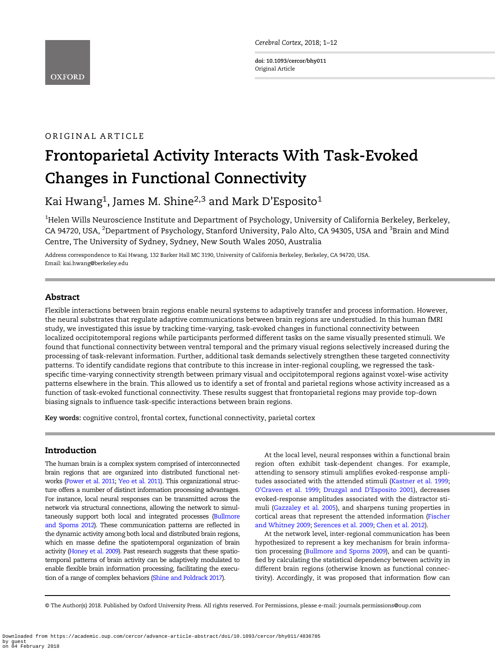Cerebral Cortex, 2018; 1–12

doi: 10.1093/cercor/bhy011 Original Article

# ORIGINAL ARTICLE

# Frontoparietal Activity Interacts With Task-Evoked Changes in Functional Connectivity

Kai Hwang<sup>1</sup>, James M. Shine<sup>2,3</sup> and Mark D'Esposito<sup>1</sup>

 $^{\rm 1}$ Helen Wills Neuroscience Institute and Department of Psychology, University of California Berkeley, Berkeley, CA 94720, USA, <sup>2</sup>Department of Psychology, Stanford University, Palo Alto, CA 94305, USA and <sup>3</sup>Brain and Mind Centre, The University of Sydney, Sydney, New South Wales 2050, Australia

Address correspondence to Kai Hwang, 132 Barker Hall MC 3190, University of California Berkeley, Berkeley, CA 94720, USA. Email: kai.hwang@berkeley.edu

# Abstract

Flexible interactions between brain regions enable neural systems to adaptively transfer and process information. However, the neural substrates that regulate adaptive communications between brain regions are understudied. In this human fMRI study, we investigated this issue by tracking time-varying, task-evoked changes in functional connectivity between localized occipitotemporal regions while participants performed different tasks on the same visually presented stimuli. We found that functional connectivity between ventral temporal and the primary visual regions selectively increased during the processing of task-relevant information. Further, additional task demands selectively strengthen these targeted connectivity patterns. To identify candidate regions that contribute to this increase in inter-regional coupling, we regressed the taskspecific time-varying connectivity strength between primary visual and occipitotemporal regions against voxel-wise activity patterns elsewhere in the brain. This allowed us to identify a set of frontal and parietal regions whose activity increased as a function of task-evoked functional connectivity. These results suggest that frontoparietal regions may provide top-down biasing signals to influence task-specific interactions between brain regions.

Key words: cognitive control, frontal cortex, functional connectivity, parietal cortex

## Introduction

The human brain is a complex system comprised of interconnected brain regions that are organized into distributed functional networks [\(Power et al. 2011;](#page-10-0) [Yeo et al. 2011\)](#page-11-0). This organizational structure offers a number of distinct information processing advantages. For instance, local neural responses can be transmitted across the network via structural connections, allowing the network to simultaneously support both local and integrated processes ([Bullmore](#page-9-0) [and Sporns 2012\)](#page-9-0). These communication patterns are reflected in the dynamic activity among both local and distributed brain regions, which en masse define the spatiotemporal organization of brain activity [\(Honey et al. 2009](#page-10-0)). Past research suggests that these spatiotemporal patterns of brain activity can be adaptively modulated to enable flexible brain information processing, facilitating the execution of a range of complex behaviors [\(Shine and Poldrack 2017\)](#page-10-0).

At the local level, neural responses within a functional brain region often exhibit task-dependent changes. For example, attending to sensory stimuli amplifies evoked-response ampli-tudes associated with the attended stimuli ([Kastner et al. 1999;](#page-10-0) O'[Craven et al. 1999;](#page-10-0) [Druzgal and D](#page-9-0)'Esposito 2001), decreases evoked-response amplitudes associated with the distractor stimuli ([Gazzaley et al. 2005](#page-9-0)), and sharpens tuning properties in cortical areas that represent the attended information ([Fischer](#page-9-0) [and Whitney 2009](#page-9-0); [Serences et al. 2009;](#page-10-0) [Chen et al. 2012\)](#page-9-0).

At the network level, inter-regional communication has been hypothesized to represent a key mechanism for brain information processing ([Bullmore and Sporns 2009\)](#page-9-0), and can be quantified by calculating the statistical dependency between activity in different brain regions (otherwise known as functional connectivity). Accordingly, it was proposed that information flow can

© The Author(s) 2018. Published by Oxford University Press. All rights reserved. For Permissions, please e-mail: journals.permissions@oup.com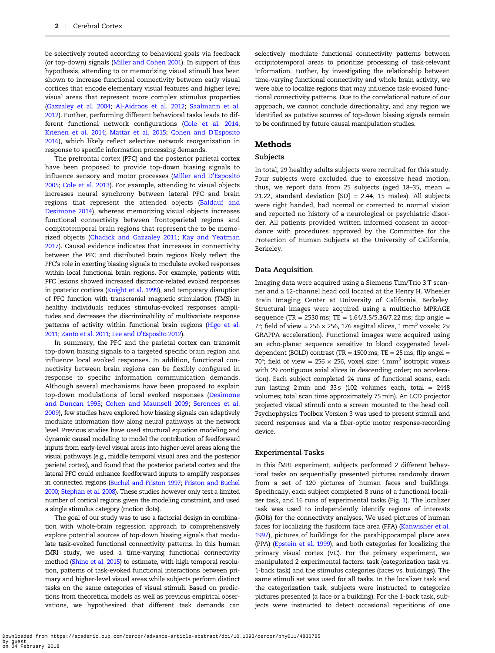be selectively routed according to behavioral goals via feedback (or top-down) signals [\(Miller and Cohen 2001\)](#page-10-0). In support of this hypothesis, attending to or memorizing visual stimuli has been shown to increase functional connectivity between early visual cortices that encode elementary visual features and higher level visual areas that represent more complex stimulus properties [\(Gazzaley et al. 2004;](#page-9-0) [Al-Aidroos et al. 2012](#page-9-0); [Saalmann et al.](#page-10-0) [2012](#page-10-0)). Further, performing different behavioral tasks leads to different functional network configurations ([Cole et al. 2014;](#page-9-0) [Krienen et al. 2014](#page-10-0); [Mattar et al. 2015](#page-10-0); [Cohen and D](#page-9-0)'Esposito [2016](#page-9-0)), which likely reflect selective network reorganization in response to specific information processing demands.

The prefrontal cortex (PFC) and the posterior parietal cortex have been proposed to provide top-down biasing signals to influence sensory and motor processes ([Miller and D](#page-10-0)'Esposito [2005;](#page-10-0) [Cole et al. 2013\)](#page-9-0). For example, attending to visual objects increases neural synchrony between lateral PFC and brain regions that represent the attended objects [\(Baldauf and](#page-9-0) [Desimone 2014\)](#page-9-0), whereas memorizing visual objects increases functional connectivity between frontoparietal regions and occipitotemporal brain regions that represent the to be memorized objects [\(Chadick and Gazzaley 2011;](#page-9-0) [Kay and Yeatman](#page-10-0) [2017\)](#page-10-0). Causal evidence indicates that increases in connectivity between the PFC and distributed brain regions likely reflect the PFC's role in exerting biasing signals to modulate evoked responses within local functional brain regions. For example, patients with PFC lesions showed increased distractor-related evoked responses in posterior cortices ([Knight et al. 1999](#page-10-0)), and temporary disruption of PFC function with transcranial magnetic stimulation (TMS) in healthy individuals reduces stimulus-evoked responses amplitudes and decreases the discriminability of multivariate response patterns of activity within functional brain regions [\(Higo et al.](#page-10-0) [2011;](#page-10-0) [Zanto et al. 2011;](#page-11-0) Lee and D'[Esposito 2012\)](#page-10-0).

In summary, the PFC and the parietal cortex can transmit top-down biasing signals to a targeted specific brain region and influence local evoked responses. In addition, functional connectivity between brain regions can be flexibly configured in response to specific information communication demands. Although several mechanisms have been proposed to explain top-down modulations of local evoked responses ([Desimone](#page-9-0) [and Duncan 1995;](#page-9-0) [Cohen and Maunsell 2009](#page-9-0); [Serences et al.](#page-10-0) [2009\)](#page-10-0), few studies have explored how biasing signals can adaptively modulate information flow along neural pathways at the network level. Previous studies have used structural equation modeling and dynamic causal modeling to model the contribution of feedforward inputs from early-level visual areas into higher-level areas along the visual pathways (e.g., middle temporal visual area and the posterior parietal cortex), and found that the posterior parietal cortex and the lateral PFC could enhance feedforward inputs to amplify responses in connected regions [\(Buchel and Friston 1997;](#page-9-0) [Friston and Buchel](#page-9-0) [2000](#page-9-0); [Stephan et al. 2008](#page-10-0)). These studies however only test a limited number of cortical regions given the modeling constraint, and used a single stimulus category (motion dots).

The goal of our study was to use a factorial design in combination with whole-brain regression approach to comprehensively explore potential sources of top-down biasing signals that modulate task-evoked functional connectivity patterns. In this human fMRI study, we used a time-varying functional connectivity method [\(Shine et al. 2015\)](#page-10-0) to estimate, with high temporal resolution, patterns of task-evoked functional interactions between primary and higher-level visual areas while subjects perform distinct tasks on the same categories of visual stimuli. Based on predictions from theoretical models as well as previous empirical observations, we hypothesized that different task demands can selectively modulate functional connectivity patterns between occipitotemporal areas to prioritize processing of task-relevant information. Further, by investigating the relationship between time-varying functional connectivity and whole brain activity, we were able to localize regions that may influence task-evoked functional connectivity patterns. Due to the correlational nature of our approach, we cannot conclude directionality, and any region we identified as putative sources of top-down biasing signals remain to be confirmed by future causal manipulation studies.

## Methods

## Subjects

In total, 29 healthy adults subjects were recruited for this study. Four subjects were excluded due to excessive head motion, thus, we report data from 25 subjects (aged 18-35, mean  $=$ 21.22, standard deviation  $|SD| = 2.44$ , 15 males). All subjects were right handed, had normal or corrected to normal vision and reported no history of a neurological or psychiatric disorder. All patients provided written informed consent in accordance with procedures approved by the Committee for the Protection of Human Subjects at the University of California, Berkeley.

### Data Acquisition

Imaging data were acquired using a Siemens Tim/Trio 3 T scanner and a 12-channel head coil located at the Henry H. Wheeler Brain Imaging Center at University of California, Berkeley. Structural images were acquired using a multiecho MPRAGE sequence (TR = 2530 ms; TE =  $1.64/3.5/5.36/7.22$  ms; flip angle = 7°; field of view = 256  $\times$  256, 176 sagittal slices, 1 mm<sup>3</sup> voxels; 2 $\times$ GRAPPA acceleration). Functional images were acquired using an echo-planar sequence sensitive to blood oxygenated leveldependent (BOLD) contrast (TR = 1500 ms; TE = 25 ms; flip angel = 70°; field of view = 256  $\times$  256, voxel size: 4 mm<sup>3</sup> isotropic voxels with 29 contiguous axial slices in descending order; no acceleration). Each subject completed 24 runs of functional scans, each run lasting  $2 \text{ min}$  and  $33 \text{ s}$  (102 volumes each, total = 2448 volumes; total scan time approximately 75 min). An LCD projector projected visual stimuli onto a screen mounted to the head coil. Psychophysics Toolbox Version 3 was used to present stimuli and record responses and via a fiber-optic motor response-recording device.

#### Experimental Tasks

In this fMRI experiment, subjects performed 2 different behavioral tasks on sequentially presented pictures randomly drawn from a set of 120 pictures of human faces and buildings. Specifically, each subject completed 8 runs of a functional localizer task, and 16 runs of experimental tasks (Fig. [1\)](#page-2-0). The localizer task was used to independently identify regions of interests (ROIs) for the connectivity analyses. We used pictures of human faces for localizing the fusiform face area (FFA) [\(Kanwisher et al.](#page-10-0) [1997](#page-10-0)), pictures of buildings for the parahippocampal place area (PPA) [\(Epstein et al. 1999](#page-9-0)), and both categories for localizing the primary visual cortex (VC). For the primary experiment, we manipulated 2 experimental factors: task (categorization task vs. 1-back task) and the stimulus categories (faces vs. buildings). The same stimuli set was used for all tasks. In the localizer task and the categorization task, subjects were instructed to categorize pictures presented (a face or a building). For the 1-back task, subjects were instructed to detect occasional repetitions of one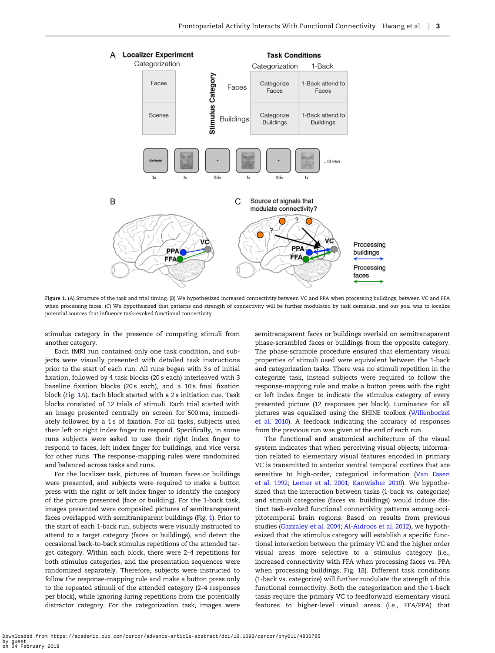<span id="page-2-0"></span>

Figure 1. (A) Structure of the task and trial timing. (B) We hypothesized increased connectivity between VC and PPA when processing buildings, between VC and FFA when processing faces. (C) We hypothesized that patterns and strength of connectivity will be further modulated by task demands, and our goal was to localize potential sources that influence task-evoked functional connectivity.

stimulus category in the presence of competing stimuli from another category.

Each fMRI run contained only one task condition, and subjects were visually presented with detailed task instructions prior to the start of each run. All runs began with 3 s of initial fixation, followed by 4 task blocks (20 s each) interleaved with 3 baseline fixation blocks (20 s each), and a 10 s final fixation block (Fig. 1A). Each block started with a 2 s initiation cue. Task blocks consisted of 12 trials of stimuli. Each trial started with an image presented centrally on screen for 500 ms, immediately followed by a 1s of fixation. For all tasks, subjects used their left or right index finger to respond. Specifically, in some runs subjects were asked to use their right index finger to respond to faces, left index finger for buildings, and vice versa for other runs. The response-mapping rules were randomized and balanced across tasks and runs.

For the localizer task, pictures of human faces or buildings were presented, and subjects were required to make a button press with the right or left index finger to identify the category of the picture presented (face or building). For the 1-back task, images presented were composited pictures of semitransparent faces overlapped with semitransparent buildings (Fig. 1). Prior to the start of each 1-back run, subjects were visually instructed to attend to a target category (faces or buildings), and detect the occasional back-to-back stimulus repetitions of the attended target category. Within each block, there were 2–4 repetitions for both stimulus categories, and the presentation sequences were randomized separately. Therefore, subjects were instructed to follow the response-mapping rule and make a button press only to the repeated stimuli of the attended category (2–4 responses per block), while ignoring luring repetitions from the potentially distractor category. For the categorization task, images were

semitransparent faces or buildings overlaid on semitransparent phase-scrambled faces or buildings from the opposite category. The phase-scramble procedure ensured that elementary visual properties of stimuli used were equivalent between the 1-back and categorization tasks. There was no stimuli repetition in the categorize task, instead subjects were required to follow the response-mapping rule and make a button press with the right or left index finger to indicate the stimulus category of every presented picture (12 responses per block). Luminance for all pictures was equalized using the SHINE toolbox [\(Willenbockel](#page-11-0) [et al. 2010\)](#page-11-0). A feedback indicating the accuracy of responses from the previous run was given at the end of each run.

The functional and anatomical architecture of the visual system indicates that when perceiving visual objects, information related to elementary visual features encoded in primary VC is transmitted to anterior ventral temporal cortices that are sensitive to high-order, categorical information [\(Van Essen](#page-10-0) [et al. 1992](#page-10-0); [Lerner et al. 2001;](#page-10-0) [Kanwisher 2010\)](#page-10-0). We hypothesized that the interaction between tasks (1-back vs. categorize) and stimuli categories (faces vs. buildings) would induce distinct task-evoked functional connectivity patterns among occipitotemporal brain regions. Based on results from previous studies ([Gazzaley et al. 2004;](#page-9-0) [Al-Aidroos et al. 2012](#page-9-0)), we hypothesized that the stimulus category will establish a specific functional interaction between the primary VC and the higher order visual areas more selective to a stimulus category (i.e., increased connectivity with FFA when processing faces vs. PPA when processing buildings; Fig. 1B). Different task conditions (1-back vs. categorize) will further modulate the strength of this functional connectivity. Both the categorization and the 1-back tasks require the primary VC to feedforward elementary visual features to higher-level visual areas (i.e., FFA/PPA) that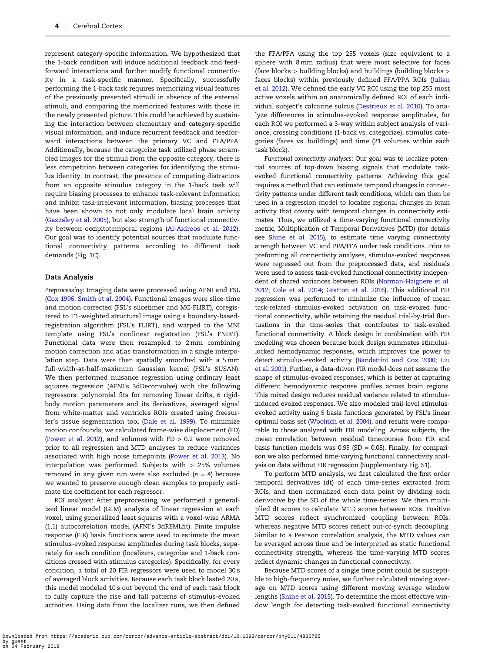represent category-specific information. We hypothesized that the 1-back condition will induce additional feedback and feedforward interactions and further modify functional connectivity in a task-specific manner. Specifically, successfully performing the 1-back task requires memorizing visual features of the previously presented stimuli in absence of the external stimuli, and comparing the memorized features with those in the newly presented picture. This could be achieved by sustaining the interaction between elementary and category-specific visual information, and induce recurrent feedback and feedforward interactions between the primary VC and FFA/PPA. Additionally, because the categorize task utilized phase scrambled images for the stimuli from the opposite category, there is less competition between categories for identifying the stimulus identity. In contrast, the presence of competing distractors from an opposite stimulus category in the 1-back task will require biasing processes to enhance task-relevant information and inhibit task-irrelevant information, biasing processes that have been shown to not only modulate local brain activity [\(Gazzaley et al. 2005](#page-9-0)), but also strength of functional connectivity between occipitotemporal regions ([Al-Aidroos et al. 2012\)](#page-9-0). Our goal was to identify potential sources that modulate functional connectivity patterns according to different task demands (Fig. [1](#page-2-0)C).

#### Data Analysis

Preprocessing: Imaging data were processed using AFNI and FSL [\(Cox 1996](#page-9-0); [Smith et al. 2004\)](#page-10-0). Functional images were slice-time and motion corrected (FSL's slicetimer and MC-FLIRT), coregistered to T1-weighted structural image using a boundary-basedregistration algorithm (FSL's FLIRT), and warped to the MNI template using FSL's nonlinear registration (FSL's FNIRT). Functional data were then resampled to 2 mm combining motion correction and atlas transformation in a single interpolation step. Data were then spatially smoothed with a 5 mm full-width-at-half-maximum Gaussian kernel (FSL's SUSAN). We then performed nuisance regression using ordinary least squares regression (AFNI's 3dDeconvolve) with the following regressors: polynomial fits for removing linear drifts, 6 rigidbody motion parameters and its derivatives, averaged signal from white-matter and ventricles ROIs created using freesurfer's tissue segmentation tool ([Dale et al. 1999\)](#page-9-0). To minimize motion confounds, we calculated frame-wise displacement (FD) [\(Power et al. 2012\)](#page-10-0), and volumes with  $FD > 0.2$  were removed prior to all regression and MTD analyses to reduce variances associated with high noise timepoints ([Power et al. 2013\)](#page-10-0). No interpolation was performed. Subjects with > 25% volumes removed in any given run were also excluded  $(n = 4)$  because we wanted to preserve enough clean samples to properly estimate the coefficient for each regressor.

ROI analyses: After preprocessing, we performed a generalized linear model (GLM) analysis of linear regression at each voxel, using generalized least squares with a voxel-wise ARMA (1,1) autocorrelation model (AFNI's 3dREMLfit). Finite impulse response (FIR) basis functions were used to estimate the mean stimulus-evoked response amplitudes during task blocks, separately for each condition (localizers, categorize and 1-back conditions crossed with stimulus categories). Specifically, for every condition, a total of 20 FIR regressors were used to model 30 s of averaged block activities. Because each task block lasted 20 s, this model modeled 10 s out beyond the end of each task block to fully capture the rise and fall patterns of stimulus-evoked activities. Using data from the localizer runs, we then defined

the FFA/PPA using the top 255 voxels (size equivalent to a sphere with 8 mm radius) that were most selective for faces (face blocks > building blocks) and buildings (building blocks > faces blocks) within previously defined FFA/PPA ROIs ([Julian](#page-10-0) [et al. 2012\)](#page-10-0). We defined the early VC ROI using the top 255 most active voxels within an anatomically defined ROI of each individual subject's calcarine sulcus ([Destrieux et al. 2010\)](#page-9-0). To analyze differences in stimulus-evoked response amplitudes, for each ROI we performed a 3-way within subject analysis of variance, crossing conditions (1-back vs. categorize), stimulus categories (faces vs. buildings) and time (21 volumes within each task block).

Functional connectivity analyses: Our goal was to localize potential sources of top-down biasing signals that modulate taskevoked functional connectivity patterns. Achieving this goal requires a method that can estimate temporal changes in connectivity patterns under different task conditions, which can then be used in a regression model to localize regional changes in brain activity that covary with temporal changes in connectivity estimates. Thus, we utilized a time-varying functional connectivity metric, Multiplication of Temporal Derivatives (MTD) (for details see [Shine et al. 2015\)](#page-10-0), to estimate time varying connectivity strength between VC and PPA/FFA under task conditions. Prior to preforming all connectivity analyses, stimulus-evoked responses were regressed out from the preprocessed data, and residuals were used to assess task-evoked functional connectivity independent of shared variances between ROIs [\(Norman-Haignere et al.](#page-10-0) [2012;](#page-10-0) [Cole et al. 2014;](#page-9-0) [Gratton et al. 2016\)](#page-9-0). This additional FIR regression was performed to minimize the influence of mean task-related stimulus-evoked activation on task-evoked functional connectivity, while retaining the residual trial-by-trial fluctuations in the time-series that contributes to task-evoked functional connectivity. A block design in combination with FIR modeling was chosen because block design summates stimuluslocked hemodynamic responses, which improves the power to detect stimulus-evoked activity ([Bandettini and Cox 2000](#page-9-0); [Liu](#page-10-0) [et al. 2001](#page-10-0)). Further, a data-driven FIR model does not assume the shape of stimulus-evoked responses, which is better at capturing different hemodynamic response profiles across brain regions. This mixed design reduces residual variance related to stimulusinduced evoked responses. We also modeled trail-level stimulusevoked activity using 5 basis functions generated by FSL's linear optimal basis set [\(Woolrich et al. 2004](#page-11-0)), and results were comparable to those analyzed with FIR modeling. Across subjects, the mean correlation between residual timecourses from FIR and basis function models was  $0.95$  (SD = 0.08). Finally, for comparison we also performed time-varying functional connectivity analysis on data without FIR regression (Supplementary Fig. S1).

To perform MTD analysis, we first calculated the first order temporal derivatives (dt) of each time-series extracted from ROIs, and then normalized each data point by dividing each derivative by the SD of the whole time-series. We then multiplied dt scores to calculate MTD scores between ROIs. Positive MTD scores reflect synchronized coupling between ROIs, whereas negative MTD scores reflect out-of-synch decoupling. Similar to a Pearson correlation analysis, the MTD values can be averaged across time and be interpreted as static functional connectivity strength, whereas the time-varying MTD scores reflect dynamic changes in functional connectivity.

Because MTD scores of a single time point could be susceptible to high-frequency noise, we further calculated moving average on MTD scores using different moving average window lengths ([Shine et al. 2015](#page-10-0)). To determine the most effective window length for detecting task-evoked functional connectivity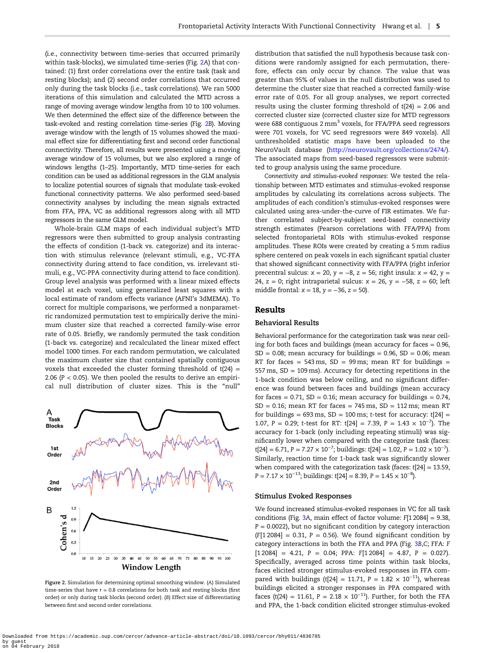(i.e., connectivity between time-series that occurred primarily within task-blocks), we simulated time-series (Fig. 2A) that contained: (1) first order correlations over the entire task (task and resting blocks); and (2) second order correlations that occurred only during the task blocks (i.e., task correlations). We ran 5000 iterations of this simulation and calculated the MTD across a range of moving average window lengths from 10 to 100 volumes. We then determined the effect size of the difference between the task-evoked and resting correlation time-series (Fig. 2B). Moving average window with the length of 15 volumes showed the maximal effect size for differentiating first and second order functional connectivity. Therefore, all results were presented using a moving average window of 15 volumes, but we also explored a range of windows lengths (1–25). Importantly, MTD time-series for each condition can be used as additional regressors in the GLM analysis to localize potential sources of signals that modulate task-evoked functional connectivity patterns. We also performed seed-based connectivity analyses by including the mean signals extracted from FFA, PPA, VC as additional regressors along with all MTD regressors in the same GLM model.

Whole-brain GLM maps of each individual subject's MTD regressors were then submitted to group analysis contrasting the effects of condition (1-back vs. categorize) and its interaction with stimulus relevance (relevant stimuli, e.g., VC-FFA connectivity during attend to face condition, vs. irrelevant stimuli, e.g., VC-PPA connectivity during attend to face condition). Group level analysis was performed with a linear mixed effects model at each voxel, using generalized least squares with a local estimate of random effects variance (AFNI's 3dMEMA). To correct for multiple comparisons, we performed a nonparametric randomized permutation test to empirically derive the minimum cluster size that reached a corrected family-wise error rate of 0.05. Briefly, we randomly permuted the task condition (1-back vs. categorize) and recalculated the linear mixed effect model 1000 times. For each random permutation, we calculated the maximum cluster size that contained spatially contiguous voxels that exceeded the cluster forming threshold of  $t(24) =$ 2.06 ( $P < 0.05$ ). We then pooled the results to derive an empirical null distribution of cluster sizes. This is the "null"



Figure 2. Simulation for determining optimal smoothing window. (A) Simulated time-series that have  $r = 0.8$  correlations for both task and resting blocks (first order) or only during task blocks (second order). (B) Effect size of differentiating between first and second order correlations.

distribution that satisfied the null hypothesis because task conditions were randomly assigned for each permutation, therefore, effects can only occur by chance. The value that was greater than 95% of values in the null distribution was used to determine the cluster size that reached a corrected family-wise error rate of 0.05. For all group analyses, we report corrected results using the cluster forming threshold of  $t(24) = 2.06$  and corrected cluster size (corrected cluster size for MTD regressors were 688 contiguous  $2 \text{ mm}^3$  voxels, for FFA/PPA seed regressors were 701 voxels, for VC seed regressors were 849 voxels). All unthresholded statistic maps have been uploaded to the NeuroVault database [\(http://neurovault.org/collections/2474/\)](http://neurovault.org/collections/2474/). The associated maps from seed-based regressors were submitted to group analysis using the same procedure.

Connectivity and stimulus-evoked responses: We tested the relationship between MTD estimates and stimulus-evoked response amplitudes by calculating its correlations across subjects. The amplitudes of each condition's stimulus-evoked responses were calculated using area-under-the-curve of FIR estimates. We further correlated subject-by-subject seed-based connectivity strength estimates (Pearson correlations with FFA/PPA) from selected frontoparietal ROIs with stimulus-evoked response amplitudes. These ROIs were created by creating a 5 mm radius sphere centered on peak voxels in each significant spatial cluster that showed significant connectivity with FFA/PPA (right inferior precentral sulcus:  $x = 20$ ,  $y = -8$ ,  $z = 56$ ; right insula:  $x = 42$ ,  $y =$ 24,  $z = 0$ ; right intraparietal sulcus:  $x = 26$ ,  $y = -58$ ,  $z = 60$ ; left middle frontal:  $x = 18$ ,  $y = -36$ ,  $z = 50$ ).

## Results

## Behavioral Results

Behavioral performance for the categorization task was near ceiling for both faces and buildings (mean accuracy for faces  $= 0.96$ ,  $SD = 0.08$ ; mean accuracy for buildings = 0.96,  $SD = 0.06$ ; mean RT for faces = 543 ms,  $SD = 99$  ms; mean RT for buildings = 557 ms, SD = 109 ms). Accuracy for detecting repetitions in the 1-back condition was below ceiling, and no significant difference was found between faces and buildings (mean accuracy for faces =  $0.71$ , SD =  $0.16$ ; mean accuracy for buildings =  $0.74$ ,  $SD = 0.16$ ; mean RT for faces = 745 ms,  $SD = 112$  ms; mean RT for buildings =  $693 \text{ ms}$ , SD = 100 ms; t-test for accuracy:  $t[24]$  = 1.07, P = 0.29; t-test for RT: t[24] = 7.39, P = 1.43  $\times$  10<sup>-7</sup>). The accuracy for 1-back (only including repeating stimuli) was significantly lower when compared with the categorize task (faces: t[24] = 6.71, P = 7.27  $\times$  10<sup>-7</sup>; buildings: t[24] = 1.02, P = 1.02  $\times$  10<sup>-7</sup>). Similarly, reaction time for 1-back task was significantly slower when compared with the categorization task (faces:  $t[24] = 13.59$ ,  $P = 7.17 \times 10^{-13}$ ; buildings: t[24] = 8.39,  $P = 1.45 \times 10^{-8}$ ).

#### Stimulus Evoked Responses

We found increased stimulus-evoked responses in VC for all task conditions (Fig. [3](#page-5-0)A, main effect of factor volume: F[1 2084] = 9.38,  $P = 0.0022$ ), but no significant condition by category interaction  $(F[1\,2084] = 0.31, P = 0.56)$ . We found significant condition by category interactions in both the FFA and PPA (Fig. [3](#page-5-0)B,C; FFA: F  $[1\,2084] = 4.21$ ,  $P = 0.04$ ; PPA:  $F[1\,2084] = 4.87$ ,  $P = 0.027$ ). Specifically, averaged across time points within task blocks, faces elicited stronger stimulus-evoked responses in FFA compared with buildings (t[24] = 11.71, P = 1.82  $\times$  10<sup>-11</sup>), whereas buildings elicited a stronger responses in PPA compared with faces (t(24) = 11.61, P = 2.18  $\times$  10<sup>-11</sup>). Further, for both the FFA and PPA, the 1-back condition elicited stronger stimulus-evoked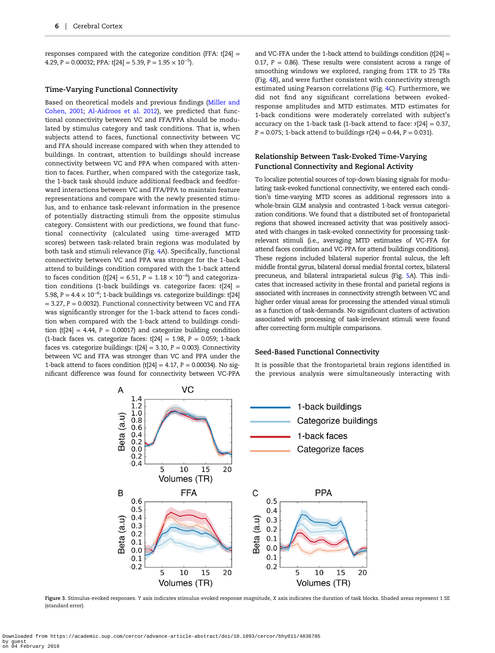<span id="page-5-0"></span>responses compared with the categorize condition (FFA:  $t[24] =$ 4.29, P = 0.00032; PPA: t[24] = 5.39, P =  $1.95 \times 10^{-5}$ ).

#### Time-Varying Functional Connectivity

Based on theoretical models and previous findings ([Miller and](#page-10-0) [Cohen, 2001](#page-10-0); [Al-Aidroos et al. 2012\)](#page-9-0), we predicted that functional connectivity between VC and FFA/PPA should be modulated by stimulus category and task conditions. That is, when subjects attend to faces, functional connectivity between VC and FFA should increase compared with when they attended to buildings. In contrast, attention to buildings should increase connectivity between VC and PPA when compared with attention to faces. Further, when compared with the categorize task, the 1-back task should induce additional feedback and feedforward interactions between VC and FFA/PPA to maintain feature representations and compare with the newly presented stimulus, and to enhance task-relevant information in the presence of potentially distracting stimuli from the opposite stimulus category. Consistent with our predictions, we found that functional connectivity (calculated using time-averaged MTD scores) between task-related brain regions was modulated by both task and stimuli relevance (Fig. [4](#page-6-0)A). Specifically, functional connectivity between VC and PPA was stronger for the 1-back attend to buildings condition compared with the 1-back attend to faces condition (t[24] = 6.51, P = 1.18  $\times$  10<sup>-6</sup>) and categorization conditions (1-back buildings vs. categorize faces:  $t[24] =$ 5.98, P =  $4.4 \times 10^{-6}$ ; 1-back buildings vs. categorize buildings: t[24]  $= 3.27$ ,  $P = 0.0032$ ). Functional connectivity between VC and FFA was significantly stronger for the 1-back attend to faces condition when compared with the 1-back attend to buildings condition (t[24] = 4.44,  $P = 0.00017$ ) and categorize building condition (1-back faces vs. categorize faces:  $t[24] = 1.98$ ,  $P = 0.059$ ; 1-back faces vs. categorize buildings:  $t[24] = 3.10$ ,  $P = 0.003$ ). Connectivity between VC and FFA was stronger than VC and PPA under the 1-back attend to faces condition (t[24] = 4.17,  $P = 0.00034$ ). No significant difference was found for connectivity between VC-PPA

and VC-FFA under the 1-back attend to buildings condition  $(t[24] =$ 0.17,  $P = 0.86$ ). These results were consistent across a range of smoothing windows we explored, ranging from 1TR to 25 TRs (Fig. [4](#page-6-0)B), and were further consistent with connectivity strength estimated using Pearson correlations (Fig. [4](#page-6-0)C). Furthermore, we did not find any significant correlations between evokedresponse amplitudes and MTD estimates. MTD estimates for 1-back conditions were moderately correlated with subject's accuracy on the 1-back task (1-back attend to face:  $r[24] = 0.37$ ,  $P = 0.075$ ; 1-back attend to buildings  $r(24) = 0.44$ ,  $P = 0.031$ ).

## Relationship Between Task-Evoked Time-Varying Functional Connectivity and Regional Activity

To localize potential sources of top-down biasing signals for modulating task-evoked functional connectivity, we entered each condition's time-varying MTD scores as additional regressors into a whole-brain GLM analysis and contrasted 1-back versus categorization conditions. We found that a distributed set of frontoparietal regions that showed increased activity that was positively associated with changes in task-evoked connectivity for processing taskrelevant stimuli (i.e., averaging MTD estimates of VC-FFA for attend faces condition and VC-PPA for attend buildings conditions). These regions included bilateral superior frontal sulcus, the left middle frontal gyrus, bilateral dorsal medial frontal cortex, bilateral precuneus, and bilateral intraparietal sulcus (Fig. [5](#page-7-0)A). This indicates that increased activity in these frontal and parietal regions is associated with increases in connectivity strength between VC and higher order visual areas for processing the attended visual stimuli as a function of task-demands. No significant clusters of activation associated with processing of task-irrelevant stimuli were found after correcting form multiple comparisons.

#### Seed-Based Functional Connectivity

It is possible that the frontoparietal brain regions identified in the previous analysis were simultaneously interacting with



Figure 3. Stimulus-evoked responses. Y axis indicates stimulus-evoked response magnitude, X axis indicates the duration of task blocks. Shaded areas represent 1 SE (standard error).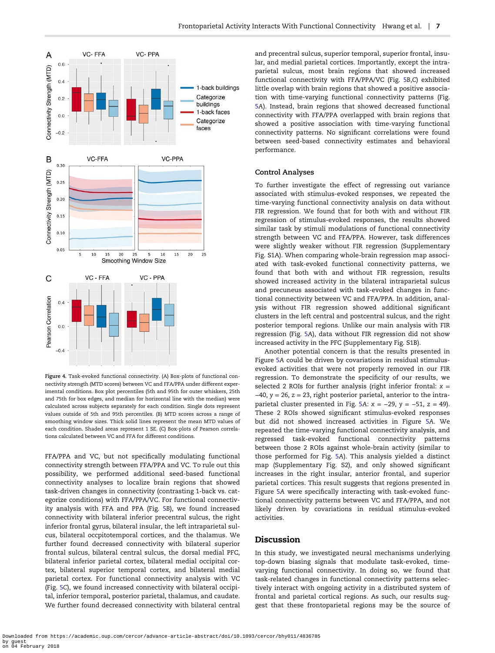<span id="page-6-0"></span>

Figure 4. Task-evoked functional connectivity. (A) Box-plots of functional connectivity strength (MTD scores) between VC and FFA/PPA under different experimental conditions. Box plot percentiles (5th and 95th for outer whiskers, 25th and 75th for box edges, and median for horizontal line with the median) were calculated across subjects separately for each condition. Single dots represent values outside of 5th and 95th percentiles. (B) MTD scores across a range of smoothing window sizes. Thick solid lines represent the mean MTD values of each condition. Shaded areas represent 1 SE. (C) Box-plots of Pearson correlations calculated between VC and FFA for different conditions.

FFA/PPA and VC, but not specifically modulating functional connectivity strength between FFA/PPA and VC. To rule out this possibility, we performed additional seed-based functional connectivity analyses to localize brain regions that showed task-driven changes in connectivity (contrasting 1-back vs. categorize conditions) with FFA/PPA/VC. For functional connectivity analysis with FFA and PPA (Fig. [5](#page-7-0)B), we found increased connectivity with bilateral inferior precentral sulcus, the right inferior frontal gyrus, bilateral insular, the left intraparietal sulcus, bilateral occpitotemporal cortices, and the thalamus. We further found decreased connectivity with bilateral superior frontal sulcus, bilateral central sulcus, the dorsal medial PFC, bilateral inferior parietal cortex, bilateral medial occipital cortex, bilateral superior temporal cortex, and bilateral medial parietal cortex. For functional connectivity analysis with VC (Fig. [5](#page-7-0)C), we found increased connectivity with bilateral occipital, inferior temporal, posterior parietal, thalamus, and caudate. We further found decreased connectivity with bilateral central

and precentral sulcus, superior temporal, superior frontal, insular, and medial parietal cortices. Importantly, except the intraparietal sulcus, most brain regions that showed increased functional connectivity with FFA/PPA/VC (Fig. [5](#page-7-0)B,C) exhibited little overlap with brain regions that showed a positive association with time-varying functional connectivity patterns (Fig. [5](#page-7-0)A). Instead, brain regions that showed decreased functional connectivity with FFA/PPA overlapped with brain regions that showed a positive association with time-varying functional connectivity patterns. No significant correlations were found between seed-based connectivity estimates and behavioral performance.

#### Control Analyses

To further investigate the effect of regressing out variance associated with stimulus-evoked responses, we repeated the time-varying functional connectivity analysis on data without FIR regression. We found that for both with and without FIR regression of stimulus-evoked responses, the results showed similar task by stimuli modulations of functional connectivity strength between VC and FFA/PPA. However, task differences were slightly weaker without FIR regression (Supplementary Fig. S1A). When comparing whole-brain regression map associated with task-evoked functional connectivity patterns, we found that both with and without FIR regression, results showed increased activity in the bilateral intraparietal sulcus and precuneus associated with task-evoked changes in functional connectivity between VC and FFA/PPA. In addition, analysis without FIR regression showed additional significant clusters in the left central and postcentral sulcus, and the right posterior temporal regions. Unlike our main analysis with FIR regression (Fig. [5](#page-7-0)A), data without FIR regression did not show increased activity in the PFC (Supplementary Fig. S1B).

Another potential concern is that the results presented in Figure [5](#page-7-0)A could be driven by covariations in residual stimulusevoked activities that were not properly removed in our FIR regression. To demonstrate the specificity of our results, we selected 2 ROIs for further analysis (right inferior frontal:  $x =$  $-40$ , y = 26, z = 23, right posterior parietal, anterior to the intra-parietal cluster presented in Fig. [5](#page-7-0)A:  $x = -29$ ,  $y = -51$ ,  $z = 49$ ). These 2 ROIs showed significant stimulus-evoked responses but did not showed increased activities in Figure [5](#page-7-0)A. We repeated the time-varying functional connectivity analysis, and regressed task-evoked functional connectivity patterns between those 2 ROIs against whole-brain activity (similar to those performed for Fig. [5](#page-7-0)A). This analysis yielded a distinct map (Supplementary Fig. S2), and only showed significant increases in the right insular, anterior frontal, and superior parietal cortices. This result suggests that regions presented in Figure [5](#page-7-0)A were specifically interacting with task-evoked functional connectivity patterns between VC and FFA/PPA, and not likely driven by covariations in residual stimulus-evoked activities.

# Discussion

In this study, we investigated neural mechanisms underlying top-down biasing signals that modulate task-evoked, timevarying functional connectivity. In doing so, we found that task-related changes in functional connectivity patterns selectively interact with ongoing activity in a distributed system of frontal and parietal cortical regions. As such, our results suggest that these frontoparietal regions may be the source of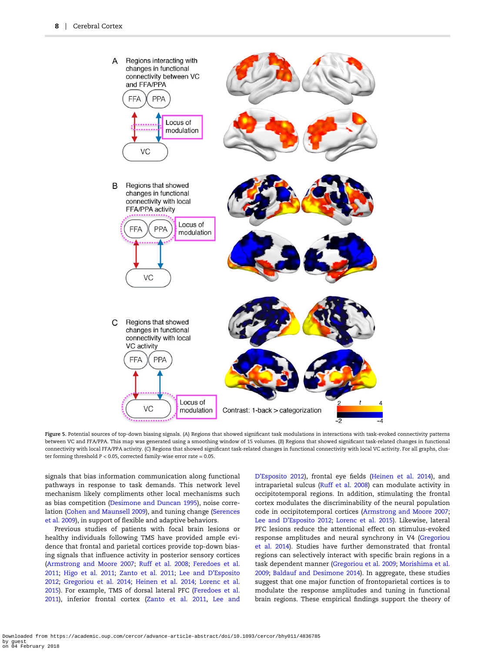<span id="page-7-0"></span>

Figure 5. Potential sources of top-down biasing signals. (A) Regions that showed significant task modulations in interactions with task-evoked connectivity patterns between VC and FFA/PPA. This map was generated using a smoothing window of 15 volumes. (B) Regions that showed significant task-related changes in functional connectivity with local FFA/PPA activity. (C) Regions that showed significant task-related changes in functional connectivity with local VC activity. For all graphs, cluster forming threshold P < 0.05, corrected family-wise error rate = 0.05.

signals that bias information communication along functional pathways in response to task demands. This network level mechanism likely compliments other local mechanisms such as bias competition [\(Desimone and Duncan 1995\)](#page-9-0), noise correlation [\(Cohen and Maunsell 2009\)](#page-9-0), and tuning change [\(Serences](#page-10-0) [et al. 2009](#page-10-0)), in support of flexible and adaptive behaviors.

Previous studies of patients with focal brain lesions or healthy individuals following TMS have provided ample evidence that frontal and parietal cortices provide top-down biasing signals that influence activity in posterior sensory cortices [\(Armstrong and Moore 2007](#page-9-0); [Ruff et al. 2008](#page-10-0); [Feredoes et al.](#page-9-0) [2011;](#page-9-0) [Higo et al. 2011;](#page-10-0) [Zanto et al. 2011](#page-11-0); [Lee and D](#page-10-0)'Esposito [2012;](#page-10-0) [Gregoriou et al. 2014;](#page-9-0) [Heinen et al. 2014;](#page-10-0) [Lorenc et al.](#page-10-0) [2015\)](#page-10-0). For example, TMS of dorsal lateral PFC ([Feredoes et al.](#page-9-0) [2011\)](#page-9-0), inferior frontal cortex [\(Zanto et al. 2011,](#page-11-0) [Lee and](#page-10-0)

D'[Esposito 2012](#page-10-0)), frontal eye fields ([Heinen et al. 2014](#page-10-0)), and intraparietal sulcus [\(Ruff et al. 2008\)](#page-10-0) can modulate activity in occipitotemporal regions. In addition, stimulating the frontal cortex modulates the discriminability of the neural population code in occipitotemporal cortices ([Armstrong and Moore 2007;](#page-9-0) Lee and D'[Esposito 2012;](#page-10-0) [Lorenc et al. 2015](#page-10-0)). Likewise, lateral PFC lesions reduce the attentional effect on stimulus-evoked response amplitudes and neural synchrony in V4 ([Gregoriou](#page-9-0) [et al. 2014](#page-9-0)). Studies have further demonstrated that frontal regions can selectively interact with specific brain regions in a task dependent manner ([Gregoriou et al. 2009](#page-9-0); [Morishima et al.](#page-10-0) [2009;](#page-10-0) [Baldauf and Desimone 2014](#page-9-0)). In aggregate, these studies suggest that one major function of frontoparietal cortices is to modulate the response amplitudes and tuning in functional brain regions. These empirical findings support the theory of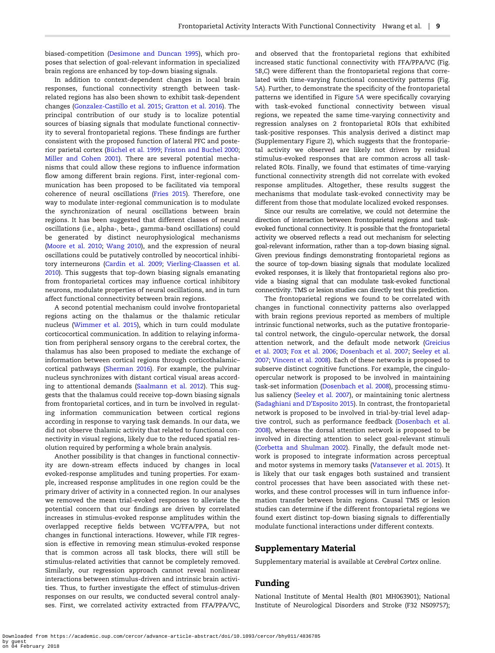biased-competition [\(Desimone and Duncan 1995](#page-9-0)), which proposes that selection of goal-relevant information in specialized brain regions are enhanced by top-down biasing signals.

In addition to context-dependent changes in local brain responses, functional connectivity strength between taskrelated regions has also been shown to exhibit task-dependent changes [\(Gonzalez-Castillo et al. 2015;](#page-9-0) [Gratton et al. 2016\)](#page-9-0). The principal contribution of our study is to localize potential sources of biasing signals that modulate functional connectivity to several frontoparietal regions. These findings are further consistent with the proposed function of lateral PFC and posterior parietal cortex ([Büchel et al. 1999;](#page-9-0) [Friston and Buchel 2000;](#page-9-0) [Miller and Cohen 2001](#page-10-0)). There are several potential mechanisms that could allow these regions to influence information flow among different brain regions. First, inter-regional communication has been proposed to be facilitated via temporal coherence of neural oscillations ([Fries 2015](#page-9-0)). Therefore, one way to modulate inter-regional communication is to modulate the synchronization of neural oscillations between brain regions. It has been suggested that different classes of neural oscillations (i.e., alpha-, beta-, gamma-band oscillations) could be generated by distinct neurophysiological mechanisms [\(Moore et al. 2010](#page-10-0); [Wang 2010](#page-11-0)), and the expression of neural oscillations could be putatively controlled by neocortical inhibitory interneurons [\(Cardin et al. 2009](#page-9-0); [Vierling-Claassen et al.](#page-10-0) [2010\)](#page-10-0). This suggests that top-down biasing signals emanating from frontoparietal cortices may influence cortical inhibitory neurons, modulate properties of neural oscillations, and in turn affect functional connectivity between brain regions.

A second potential mechanism could involve frontoparietal regions acting on the thalamus or the thalamic reticular nucleus ([Wimmer et al. 2015](#page-11-0)), which in turn could modulate corticocortical communication. In addition to relaying information from peripheral sensory organs to the cerebral cortex, the thalamus has also been proposed to mediate the exchange of information between cortical regions through corticothalamic– cortical pathways ([Sherman 2016](#page-10-0)). For example, the pulvinar nucleus synchronizes with distant cortical visual areas according to attentional demands [\(Saalmann et al. 2012\)](#page-10-0). This suggests that the thalamus could receive top-down biasing signals from frontoparietal cortices, and in turn be involved in regulating information communication between cortical regions according in response to varying task demands. In our data, we did not observe thalamic activity that related to functional connectivity in visual regions, likely due to the reduced spatial resolution required by performing a whole brain analysis.

Another possibility is that changes in functional connectivity are down-stream effects induced by changes in local evoked-response amplitudes and tuning properties. For example, increased response amplitudes in one region could be the primary driver of activity in a connected region. In our analyses we removed the mean trial-evoked responses to alleviate the potential concern that our findings are driven by correlated increases in stimulus-evoked response amplitudes within the overlapped receptive fields between VC/FFA/PPA, but not changes in functional interactions. However, while FIR regression is effective in removing mean stimulus-evoked response that is common across all task blocks, there will still be stimulus-related activities that cannot be completely removed. Similarly, our regression approach cannot reveal nonlinear interactions between stimulus-driven and intrinsic brain activities. Thus, to further investigate the effect of stimulus-driven responses on our results, we conducted several control analyses. First, we correlated activity extracted from FFA/PPA/VC,

and observed that the frontoparietal regions that exhibited increased static functional connectivity with FFA/PPA/VC (Fig. [5](#page-7-0)B,C) were different than the frontoparietal regions that correlated with time-varying functional connectivity patterns (Fig. [5](#page-7-0)A). Further, to demonstrate the specificity of the frontoparietal patterns we identified in Figure [5](#page-7-0)A were specifically covarying with task-evoked functional connectivity between visual regions, we repeated the same time-varying connectivity and regression analyses on 2 frontoparietal ROIs that exhibited task-positive responses. This analysis derived a distinct map (Supplementary Figure 2), which suggests that the frontoparietal activity we observed are likely not driven by residual stimulus-evoked responses that are common across all taskrelated ROIs. Finally, we found that estimates of time-varying functional connectivity strength did not correlate with evoked response amplitudes. Altogether, these results suggest the mechanisms that modulate task-evoked connectivity may be different from those that modulate localized evoked responses.

Since our results are correlative, we could not determine the direction of interaction between frontoparietal regions and taskevoked functional connectivity. It is possible that the frontoparietal activity we observed reflects a read out mechanism for selecting goal-relevant information, rather than a top-down biasing signal. Given previous findings demonstrating frontoparietal regions as the source of top-down biasing signals that modulate localized evoked responses, it is likely that frontoparietal regions also provide a biasing signal that can modulate task-evoked functional connectivity. TMS or lesion studies can directly test this prediction.

The frontoparietal regions we found to be correlated with changes in functional connectivity patterns also overlapped with brain regions previous reported as members of multiple intrinsic functional networks, such as the putative frontoparietal control network, the cingulo-opercular network, the dorsal attention network, and the default mode network [\(Greicius](#page-9-0) [et al. 2003](#page-9-0); [Fox et al. 2006](#page-9-0); [Dosenbach et al. 2007;](#page-9-0) [Seeley et al.](#page-10-0) [2007;](#page-10-0) [Vincent et al. 2008](#page-10-0)). Each of these networks is proposed to subserve distinct cognitive functions. For example, the cinguloopercular network is proposed to be involved in maintaining task-set information ([Dosenbach et al. 2008\)](#page-9-0), processing stimulus saliency [\(Seeley et al. 2007](#page-10-0)), or maintaining tonic alertness [\(Sadaghiani and D](#page-10-0)'Esposito 2015). In contrast, the frontoparietal network is proposed to be involved in trial-by-trial level adaptive control, such as performance feedback ([Dosenbach et al.](#page-9-0) [2008\)](#page-9-0), whereas the dorsal attention network is proposed to be involved in directing attention to select goal-relevant stimuli [\(Corbetta and Shulman 2002](#page-9-0)). Finally, the default mode network is proposed to integrate information across perceptual and motor systems in memory tasks ([Vatansever et al. 2015\)](#page-10-0). It is likely that our task engages both sustained and transient control processes that have been associated with these networks, and these control processes will in turn influence information transfer between brain regions. Causal TMS or lesion studies can determine if the different frontoparietal regions we found exert distinct top-down biasing signals to differentially modulate functional interactions under different contexts.

# Supplementary Material

Supplementary material is available at Cerebral Cortex online.

# Funding

National Institute of Mental Health (R01 MH063901); National Institute of Neurological Disorders and Stroke (F32 NS09757);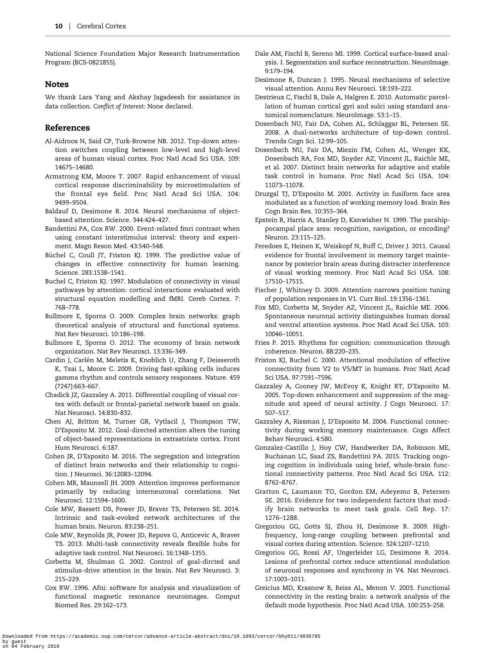<span id="page-9-0"></span>National Science Foundation Major Research Instrumentation Program (BCS-0821855).

## Notes

We thank Lara Yang and Akshay Jagadeesh for assistance in data collection. Conflict of Interest: None declared.

## References

- Al-Aidroos N, Said CP, Turk-Browne NB. 2012. Top-down attention switches coupling between low-level and high-level areas of human visual cortex. Proc Natl Acad Sci USA. 109: 14675–14680.
- Armstrong KM, Moore T. 2007. Rapid enhancement of visual cortical response discriminability by microstimulation of the frontal eye field. Proc Natl Acad Sci USA. 104: 9499–9504.
- Baldauf D, Desimone R. 2014. Neural mechanisms of objectbased attention. Science. 344:424–427.
- Bandettini PA, Cox RW. 2000. Event-related fmri contrast when using constant interstimulus interval: theory and experiment. Magn Reson Med. 43:540–548.
- Büchel C, Coull JT, Friston KJ. 1999. The predictive value of changes in effective connectivity for human learning. Science. 283:1538–1541.
- Buchel C, Friston KJ. 1997. Modulation of connectivity in visual pathways by attention: cortical interactions evaluated with structural equation modelling and fMRI. Cereb Cortex. 7: 768–778.
- Bullmore E, Sporns O. 2009. Complex brain networks: graph theoretical analysis of structural and functional systems. Nat Rev Neurosci. 10:186–198.
- Bullmore E, Sporns O. 2012. The economy of brain network organization. Nat Rev Neurosci. 13:336–349.
- Cardin J, Carlén M, Meletis K, Knoblich U, Zhang F, Deisseroth K, Tsai L, Moore C. 2009. Driving fast-spiking cells induces gamma rhythm and controls sensory responses. Nature. 459 (7247):663–667.
- Chadick JZ, Gazzaley A. 2011. Differential coupling of visual cortex with default or frontal-parietal network based on goals. Nat Neurosci. 14:830–832.
- Chen AJ, Britton M, Turner GR, Vytlacil J, Thompson TW, D'Esposito M. 2012. Goal-directed attention alters the tuning of object-based representations in extrastriate cortex. Front Hum Neurosci. 6:187.
- Cohen JR, D'Esposito M. 2016. The segregation and integration of distinct brain networks and their relationship to cognition. J Neurosci. 36:12083–12094.
- Cohen MR, Maunsell JH. 2009. Attention improves performance primarily by reducing interneuronal correlations. Nat Neurosci. 12:1594–1600.
- Cole MW, Bassett DS, Power JD, Braver TS, Petersen SE. 2014. Intrinsic and task-evoked network architectures of the human brain. Neuron. 83:238–251.
- Cole MW, Reynolds JR, Power JD, Repovs G, Anticevic A, Braver TS. 2013. Multi-task connectivity reveals flexible hubs for adaptive task control. Nat Neurosci. 16:1348–1355.
- Corbetta M, Shulman G. 2002. Control of goal-dircted and stimulus-drive attention in the brain. Nat Rev Neurosci. 3: 215–229.
- Cox RW. 1996. Afni: software for analysis and visualization of functional magnetic resonance neuroimages. Comput Biomed Res. 29:162–173.
- Dale AM, Fischl B, Sereno MI. 1999. Cortical surface-based analysis. I. Segmentation and surface reconstruction. NeuroImage. 9:179–194.
- Desimone R, Duncan J. 1995. Neural mechanisms of selective visual attention. Annu Rev Neurosci. 18:193–222.
- Destrieux C, Fischl B, Dale A, Halgren E. 2010. Automatic parcellation of human cortical gyri and sulci using standard anatomical nomenclature. NeuroImage. 53:1–15.
- Dosenbach NU, Fair DA, Cohen AL, Schlaggar BL, Petersen SE. 2008. A dual-networks architecture of top-down control. Trends Cogn Sci. 12:99–105.
- Dosenbach NU, Fair DA, Miezin FM, Cohen AL, Wenger KK, Dosenbach RA, Fox MD, Snyder AZ, Vincent JL, Raichle ME, et al. 2007. Distinct brain networks for adaptive and stable task control in humans. Proc Natl Acad Sci USA. 104: 11073–11078.
- Druzgal TJ, D'Esposito M. 2001. Activity in fusiform face area modulated as a function of working memory load. Brain Res Cogn Brain Res. 10:355–364.
- Epstein R, Harris A, Stanley D, Kanwisher N. 1999. The parahippocampal place area: recognition, navigation, or encoding? Neuron. 23:115–125.
- Feredoes E, Heinen K, Weiskopf N, Ruff C, Driver J. 2011. Causal evidence for frontal involvement in memory target maintenance by posterior brain areas during distracter interference of visual working memory. Proc Natl Acad Sci USA. 108: 17510–17515.
- Fischer J, Whitney D. 2009. Attention narrows position tuning of population responses in V1. Curr Biol. 19:1356–1361.
- Fox MD, Corbetta M, Snyder AZ, Vincent JL, Raichle ME. 2006. Spontaneous neuronal activity distinguishes human dorsal and ventral attention systems. Proc Natl Acad Sci USA. 103: 10046–10051.
- Fries P. 2015. Rhythms for cognition: communication through coherence. Neuron. 88:220–235.
- Friston KJ, Buchel C. 2000. Attentional modulation of effective connectivity from V2 to V5/MT in humans. Proc Natl Acad Sci USA. 97:7591–7596.
- Gazzaley A, Cooney JW, McEvoy K, Knight RT, D'Esposito M. 2005. Top-down enhancement and suppression of the magnitude and speed of neural activity. J Cogn Neurosci. 17: 507–517.
- Gazzaley A, Rissman J, D'Esposito M. 2004. Functional connectivity during working memory maintenance. Cogn Affect Behav Neurosci. 4:580.
- Gonzalez-Castillo J, Hoy CW, Handwerker DA, Robinson ME, Buchanan LC, Saad ZS, Bandettini PA. 2015. Tracking ongoing cognition in individuals using brief, whole-brain functional connectivity patterns. Proc Natl Acad Sci USA. 112: 8762–8767.
- Gratton C, Laumann TO, Gordon EM, Adeyemo B, Petersen SE. 2016. Evidence for two independent factors that modify brain networks to meet task goals. Cell Rep. 17: 1276–1288.
- Gregoriou GG, Gotts SJ, Zhou H, Desimone R. 2009. Highfrequency, long-range coupling between prefrontal and visual cortex during attention. Science. 324:1207–1210.
- Gregoriou GG, Rossi AF, Ungerleider LG, Desimone R. 2014. Lesions of prefrontal cortex reduce attentional modulation of neuronal responses and synchrony in V4. Nat Neurosci. 17:1003–1011.
- Greicius MD, Krasnow B, Reiss AL, Menon V. 2003. Functional connectivity in the resting brain: a network analysis of the default mode hypothesis. Proc Natl Acad USA. 100:253–258.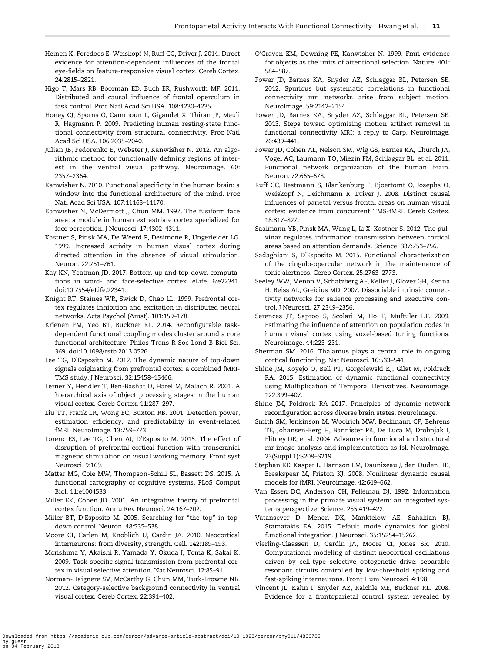- <span id="page-10-0"></span>Heinen K, Feredoes E, Weiskopf N, Ruff CC, Driver J. 2014. Direct evidence for attention-dependent influences of the frontal eye-fields on feature-responsive visual cortex. Cereb Cortex. 24:2815–2821.
- Higo T, Mars RB, Boorman ED, Buch ER, Rushworth MF. 2011. Distributed and causal influence of frontal operculum in task control. Proc Natl Acad Sci USA. 108:4230–4235.
- Honey CJ, Sporns O, Cammoun L, Gigandet X, Thiran JP, Meuli R, Hagmann P. 2009. Predicting human resting-state functional connectivity from structural connectivity. Proc Natl Acad Sci USA. 106:2035–2040.
- Julian JB, Fedorenko E, Webster J, Kanwisher N. 2012. An algorithmic method for functionally defining regions of interest in the ventral visual pathway. Neuroimage. 60: 2357–2364.
- Kanwisher N. 2010. Functional specificity in the human brain: a window into the functional architecture of the mind. Proc Natl Acad Sci USA. 107:11163–11170.
- Kanwisher N, McDermott J, Chun MM. 1997. The fusiform face area: a module in human extrastriate cortex specialized for face perception. J Neurosci. 17:4302–4311.
- Kastner S, Pinsk MA, De Weerd P, Desimone R, Ungerleider LG. 1999. Increased activity in human visual cortex during directed attention in the absence of visual stimulation. Neuron. 22:751–761.
- Kay KN, Yeatman JD. 2017. Bottom-up and top-down computations in word- and face-selective cortex. eLife. 6:e22341. [doi:10.7554/eLife.22341](http://dx.doi.org/10.7554/eLife.22341).
- Knight RT, Staines WR, Swick D, Chao LL. 1999. Prefrontal cortex regulates inhibition and excitation in distributed neural networks. Acta Psychol (Amst). 101:159–178.
- Krienen FM, Yeo BT, Buckner RL. 2014. Reconfigurable taskdependent functional coupling modes cluster around a core functional architecture. Philos Trans R Soc Lond B Biol Sci. 369. [doi:10.1098/rstb.2013.0526](http://dx.doi.org/10.1098/rstb.2013.0526).
- Lee TG, D'Esposito M. 2012. The dynamic nature of top-down signals originating from prefrontal cortex: a combined fMRI-TMS study. J Neurosci. 32:15458–15466.
- Lerner Y, Hendler T, Ben-Bashat D, Harel M, Malach R. 2001. A hierarchical axis of object processing stages in the human visual cortex. Cereb Cortex. 11:287–297.
- Liu TT, Frank LR, Wong EC, Buxton RB. 2001. Detection power, estimation efficiency, and predictability in event-related fMRI. NeuroImage. 13:759–773.
- Lorenc ES, Lee TG, Chen AJ, D'Esposito M. 2015. The effect of disruption of prefrontal cortical function with transcranial magnetic stimulation on visual working memory. Front syst Neurosci. 9:169.
- Mattar MG, Cole MW, Thompson-Schill SL, Bassett DS. 2015. A functional cartography of cognitive systems. PLoS Comput Biol. 11:e1004533.
- Miller EK, Cohen JD. 2001. An integrative theory of prefrontal cortex function. Annu Rev Neurosci. 24:167–202.
- Miller BT, D'Esposito M. 2005. Searching for "the top" in topdown control. Neuron. 48:535–538.
- Moore CI, Carlen M, Knoblich U, Cardin JA. 2010. Neocortical interneurons: from diversity, strength. Cell. 142:189–193.
- Morishima Y, Akaishi R, Yamada Y, Okuda J, Toma K, Sakai K. 2009. Task-specific signal transmission from prefrontal cortex in visual selective attention. Nat Neurosci. 12:85–91.
- Norman-Haignere SV, McCarthy G, Chun MM, Turk-Browne NB. 2012. Category-selective background connectivity in ventral visual cortex. Cereb Cortex. 22:391–402.
- O'Craven KM, Downing PE, Kanwisher N. 1999. Fmri evidence for objects as the units of attentional selection. Nature. 401: 584–587.
- Power JD, Barnes KA, Snyder AZ, Schlaggar BL, Petersen SE. 2012. Spurious but systematic correlations in functional connectivity mri networks arise from subject motion. NeuroImage. 59:2142–2154.
- Power JD, Barnes KA, Snyder AZ, Schlaggar BL, Petersen SE. 2013. Steps toward optimizing motion artifact removal in functional connectivity MRI; a reply to Carp. Neuroimage. 76:439–441.
- Power JD, Cohen AL, Nelson SM, Wig GS, Barnes KA, Church JA, Vogel AC, Laumann TO, Miezin FM, Schlaggar BL, et al. 2011. Functional network organization of the human brain. Neuron. 72:665–678.
- Ruff CC, Bestmann S, Blankenburg F, Bjoertomt O, Josephs O, Weiskopf N, Deichmann R, Driver J. 2008. Distinct causal influences of parietal versus frontal areas on human visual cortex: evidence from concurrent TMS-fMRI. Cereb Cortex. 18:817–827.
- Saalmann YB, Pinsk MA, Wang L, Li X, Kastner S. 2012. The pulvinar regulates information transmission between cortical areas based on attention demands. Science. 337:753–756.
- Sadaghiani S, D'Esposito M. 2015. Functional characterization of the cingulo-opercular network in the maintenance of tonic alertness. Cereb Cortex. 25:2763–2773.
- Seeley WW, Menon V, Schatzberg AF, Keller J, Glover GH, Kenna H, Reiss AL, Greicius MD. 2007. Dissociable intrinsic connectivity networks for salience processing and executive control. J Neurosci. 27:2349–2356.
- Serences JT, Saproo S, Scolari M, Ho T, Muftuler LT. 2009. Estimating the influence of attention on population codes in human visual cortex using voxel-based tuning functions. Neuroimage. 44:223–231.
- Sherman SM. 2016. Thalamus plays a central role in ongoing cortical functioning. Nat Neurosci. 16:533–541.
- Shine JM, Koyejo O, Bell PT, Gorgolewski KJ, Gilat M, Poldrack RA. 2015. Estimation of dynamic functional connectivity using Multiplication of Temporal Derivatives. Neuroimage. 122:399–407.
- Shine JM, Poldrack RA 2017. Principles of dynamic network reconfiguration across diverse brain states. Neuroimage.
- Smith SM, Jenkinson M, Woolrich MW, Beckmann CF, Behrens TE, Johansen-Berg H, Bannister PR, De Luca M, Drobnjak I, Flitney DE, et al. 2004. Advances in functional and structural mr image analysis and implementation as fsl. NeuroImage. 23(Suppl 1):S208–S219.
- Stephan KE, Kasper L, Harrison LM, Daunizeau J, den Ouden HE, Breakspear M, Friston KJ. 2008. Nonlinear dynamic causal models for fMRI. Neuroimage. 42:649–662.
- Van Essen DC, Anderson CH, Felleman DJ. 1992. Information processing in the primate visual system: an integrated systems perspective. Science. 255:419–422.
- Vatansever D, Menon DK, Manktelow AE, Sahakian BJ, Stamatakis EA. 2015. Default mode dynamics for global functional integration. J Neurosci. 35:15254–15262.
- Vierling-Claassen D, Cardin JA, Moore CI, Jones SR. 2010. Computational modeling of distinct neocortical oscillations driven by cell-type selective optogenetic drive: separable resonant circuits controlled by low-threshold spiking and fast-spiking interneurons. Front Hum Neurosci. 4:198.
- Vincent JL, Kahn I, Snyder AZ, Raichle ME, Buckner RL. 2008. Evidence for a frontoparietal control system revealed by